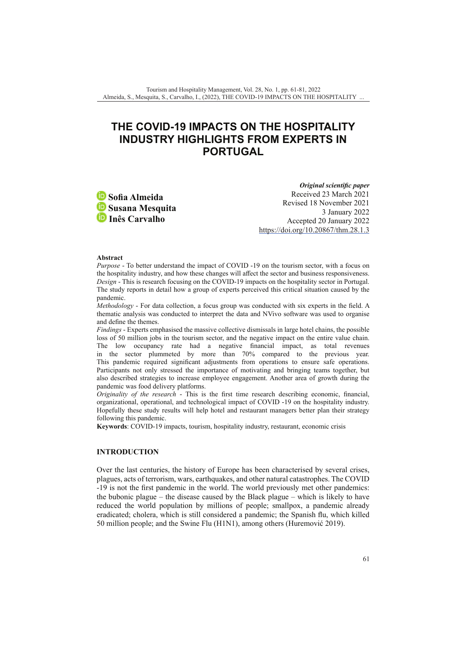# **THE COVID-19 IMPACTS ON THE HOSPITALITY INDUSTRY HIGHLIGHTS FROM EXPERTS IN PORTUGAL**

**Sofia Almeida iD** Susana Mesquita **Inês Carvalho**

*Original scientific paper* Received 23 March 2021 Revised 18 November 2021 3 January 2022 Accepted 20 January 2022 [https://doi.org/10.20867/thm.28.1.3](https://doi.org./10.20867/thm.28.1.3)

#### **Abstract**

*Purpose* - To better understand the impact of COVID -19 on the tourism sector, with a focus on the hospitality industry, and how these changes will affect the sector and business responsiveness. *Design* - This is research focusing on the COVID-19 impacts on the hospitality sector in Portugal. The study reports in detail how a group of experts perceived this critical situation caused by the pandemic.

*Methodology* - For data collection, a focus group was conducted with six experts in the field. A thematic analysis was conducted to interpret the data and NVivo software was used to organise and define the themes.

*Findings* - Experts emphasised the massive collective dismissals in large hotel chains, the possible loss of 50 million jobs in the tourism sector, and the negative impact on the entire value chain. The low occupancy rate had a negative financial impact, as total revenues in the sector plummeted by more than 70% compared to the previous year. This pandemic required significant adjustments from operations to ensure safe operations. Participants not only stressed the importance of motivating and bringing teams together, but also described strategies to increase employee engagement. Another area of growth during the pandemic was food delivery platforms.

*Originality of the research* - This is the first time research describing economic, financial, organizational, operational, and technological impact of COVID -19 on the hospitality industry. Hopefully these study results will help hotel and restaurant managers better plan their strategy following this pandemic.

**Keywords**: COVID-19 impacts, tourism, hospitality industry, restaurant, economic crisis

# **INTRODUCTION**

Over the last centuries, the history of Europe has been characterised by several crises, plagues, acts of terrorism, wars, earthquakes, and other natural catastrophes. The COVID -19 is not the first pandemic in the world. The world previously met other pandemics: the bubonic plague – the disease caused by the Black plague – which is likely to have reduced the world population by millions of people; smallpox, a pandemic already eradicated; cholera, which is still considered a pandemic; the Spanish flu, which killed 50 million people; and the Swine Flu (H1N1), among others (Huremović 2019).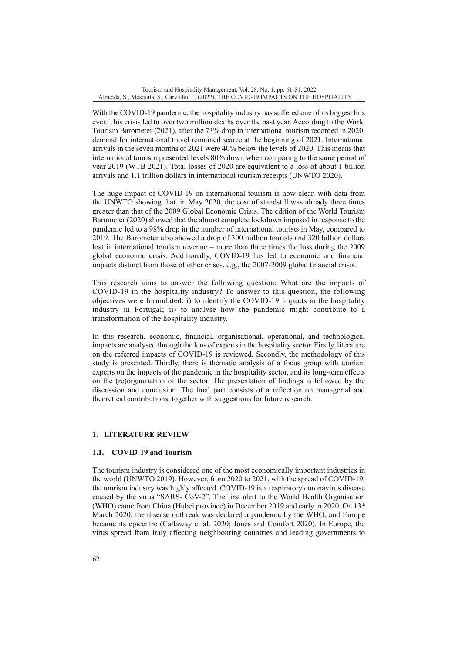With the COVID-19 pandemic, the hospitality industry has suffered one of its biggest hits ever. This crisis led to over two million deaths over the past year. According to the World Tourism Barometer (2021), after the 73% drop in international tourism recorded in 2020, demand for international travel remained scarce at the beginning of 2021. International arrivals in the seven months of 2021 were 40% below the levels of 2020. This means that international tourism presented levels 80% down when comparing to the same period of year 2019 (WTB 2021). Total losses of 2020 are equivalent to a loss of about 1 billion arrivals and 1.1 trillion dollars in international tourism receipts (UNWTO 2020).

The huge impact of COVID-19 on international tourism is now clear, with data from the UNWTO showing that, in May 2020, the cost of standstill was already three times greater than that of the 2009 Global Economic Crisis. The edition of the World Tourism Barometer (2020) showed that the almost complete lockdown imposed in response to the pandemic led to a 98% drop in the number of international tourists in May, compared to 2019. The Barometer also showed a drop of 300 million tourists and 320 billion dollars lost in international tourism revenue – more than three times the loss during the 2009 global economic crisis. Additionally, COVID-19 has led to economic and financial impacts distinct from those of other crises, e.g., the 2007-2009 global financial crisis.

This research aims to answer the following question: What are the impacts of COVID-19 in the hospitality industry? To answer to this question, the following objectives were formulated: i) to identify the COVID-19 impacts in the hospitality industry in Portugal; ii) to analyse how the pandemic might contribute to a transformation of the hospitality industry.

In this research, economic, financial, organisational, operational, and technological impacts are analysed through the lens of experts in the hospitality sector. Firstly, literature on the referred impacts of COVID-19 is reviewed. Secondly, the methodology of this study is presented. Thirdly, there is thematic analysis of a focus group with tourism experts on the impacts of the pandemic in the hospitality sector, and its long-term effects on the (re)organisation of the sector. The presentation of findings is followed by the discussion and conclusion. The final part consists of a reflection on managerial and theoretical contributions, together with suggestions for future research.

# **1. LITERATURE REVIEW**

### **1.1. COVID-19 and Tourism**

The tourism industry is considered one of the most economically important industries in the world (UNWTO 2019). However, from 2020 to 2021, with the spread of COVID-19, the tourism industry was highly affected. COVID-19 is a respiratory coronavirus disease caused by the virus "SARS- CoV-2". The first alert to the World Health Organisation (WHO) came from China (Hubei province) in December 2019 and early in 2020. On  $13<sup>th</sup>$ March 2020, the disease outbreak was declared a pandemic by the WHO, and Europe became its epicentre (Callaway et al. 2020; Jones and Comfort 2020). In Europe, the virus spread from Italy affecting neighbouring countries and leading governments to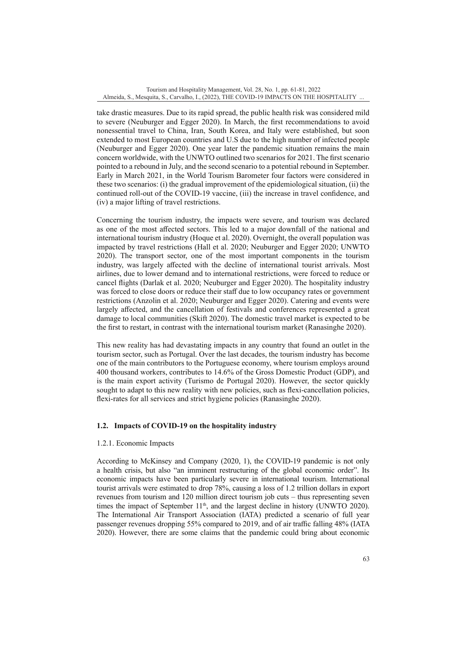take drastic measures. Due to its rapid spread, the public health risk was considered mild to severe (Neuburger and Egger 2020). In March, the first recommendations to avoid nonessential travel to China, Iran, South Korea, and Italy were established, but soon extended to most European countries and U.S due to the high number of infected people (Neuburger and Egger 2020). One year later the pandemic situation remains the main concern worldwide, with the UNWTO outlined two scenarios for 2021. The first scenario pointed to a rebound in July, and the second scenario to a potential rebound in September. Early in March 2021, in the World Tourism Barometer four factors were considered in these two scenarios: (i) the gradual improvement of the epidemiological situation, (ii) the continued roll-out of the COVID-19 vaccine, (iii) the increase in travel confidence, and (iv) a major lifting of travel restrictions.

Concerning the tourism industry, the impacts were severe, and tourism was declared as one of the most affected sectors. This led to a major downfall of the national and international tourism industry (Hoque et al. 2020). Overnight, the overall population was impacted by travel restrictions (Hall et al. 2020; Neuburger and Egger 2020; UNWTO 2020). The transport sector, one of the most important components in the tourism industry, was largely affected with the decline of international tourist arrivals. Most airlines, due to lower demand and to international restrictions, were forced to reduce or cancel flights (Darlak et al. 2020; Neuburger and Egger 2020). The hospitality industry was forced to close doors or reduce their staff due to low occupancy rates or government restrictions (Anzolin et al. 2020; Neuburger and Egger 2020). Catering and events were largely affected, and the cancellation of festivals and conferences represented a great damage to local communities (Skift 2020). The domestic travel market is expected to be the first to restart, in contrast with the international tourism market (Ranasinghe 2020).

This new reality has had devastating impacts in any country that found an outlet in the tourism sector, such as Portugal. Over the last decades, the tourism industry has become one of the main contributors to the Portuguese economy, where tourism employs around 400 thousand workers, contributes to 14.6% of the Gross Domestic Product (GDP), and is the main export activity (Turismo de Portugal 2020). However, the sector quickly sought to adapt to this new reality with new policies, such as flexi-cancellation policies, flexi-rates for all services and strict hygiene policies (Ranasinghe 2020).

# **1.2. Impacts of COVID-19 on the hospitality industry**

# 1.2.1. Economic Impacts

According to McKinsey and Company (2020, 1), the COVID-19 pandemic is not only a health crisis, but also "an imminent restructuring of the global economic order". Its economic impacts have been particularly severe in international tourism. International tourist arrivals were estimated to drop 78%, causing a loss of 1.2 trillion dollars in export revenues from tourism and 120 million direct tourism job cuts – thus representing seven times the impact of September  $11<sup>th</sup>$ , and the largest decline in history (UNWTO 2020). The International Air Transport Association (IATA) predicted a scenario of full year passenger revenues dropping 55% compared to 2019, and of air traffic falling 48% (IATA 2020). However, there are some claims that the pandemic could bring about economic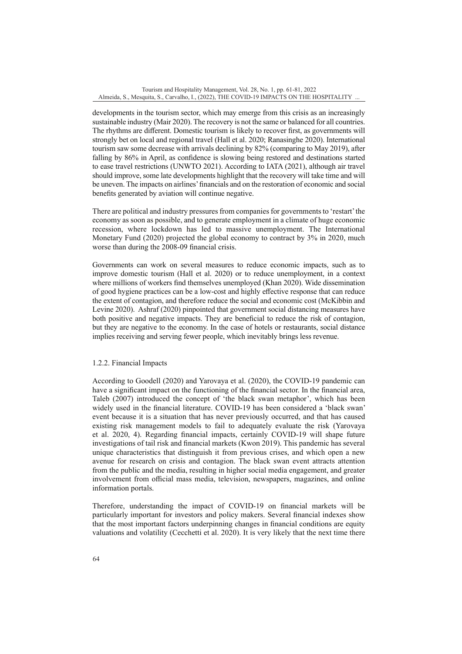developments in the tourism sector, which may emerge from this crisis as an increasingly sustainable industry (Mair 2020). The recovery is not the same or balanced for all countries. The rhythms are different. Domestic tourism is likely to recover first, as governments will strongly bet on local and regional travel (Hall et al. 2020; Ranasinghe 2020). International tourism saw some decrease with arrivals declining by 82% (comparing to May 2019), after falling by 86% in April, as confidence is slowing being restored and destinations started to ease travel restrictions (UNWTO 2021). According to IATA (2021), although air travel should improve, some late developments highlight that the recovery will take time and will be uneven. The impacts on airlines' financials and on the restoration of economic and social benefits generated by aviation will continue negative.

There are political and industry pressures from companies for governments to 'restart' the economy as soon as possible, and to generate employment in a climate of huge economic recession, where lockdown has led to massive unemployment. The International Monetary Fund (2020) projected the global economy to contract by 3% in 2020, much worse than during the 2008-09 financial crisis.

Governments can work on several measures to reduce economic impacts, such as to improve domestic tourism (Hall et al. 2020) or to reduce unemployment, in a context where millions of workers find themselves unemployed (Khan 2020). Wide dissemination of good hygiene practices can be a low-cost and highly effective response that can reduce the extent of contagion, and therefore reduce the social and economic cost (McKibbin and Levine 2020). Ashraf (2020) pinpointed that government social distancing measures have both positive and negative impacts. They are beneficial to reduce the risk of contagion, but they are negative to the economy. In the case of hotels or restaurants, social distance implies receiving and serving fewer people, which inevitably brings less revenue.

### 1.2.2. Financial Impacts

According to Goodell (2020) and Yarovaya et al. (2020), the COVID-19 pandemic can have a significant impact on the functioning of the financial sector. In the financial area, Taleb (2007) introduced the concept of 'the black swan metaphor', which has been widely used in the financial literature. COVID-19 has been considered a 'black swan' event because it is a situation that has never previously occurred, and that has caused existing risk management models to fail to adequately evaluate the risk (Yarovaya et al. 2020, 4). Regarding financial impacts, certainly COVID-19 will shape future investigations of tail risk and financial markets (Kwon 2019). This pandemic has several unique characteristics that distinguish it from previous crises, and which open a new avenue for research on crisis and contagion. The black swan event attracts attention from the public and the media, resulting in higher social media engagement, and greater involvement from official mass media, television, newspapers, magazines, and online information portals.

Therefore, understanding the impact of COVID-19 on financial markets will be particularly important for investors and policy makers. Several financial indexes show that the most important factors underpinning changes in financial conditions are equity valuations and volatility (Cecchetti et al. 2020). It is very likely that the next time there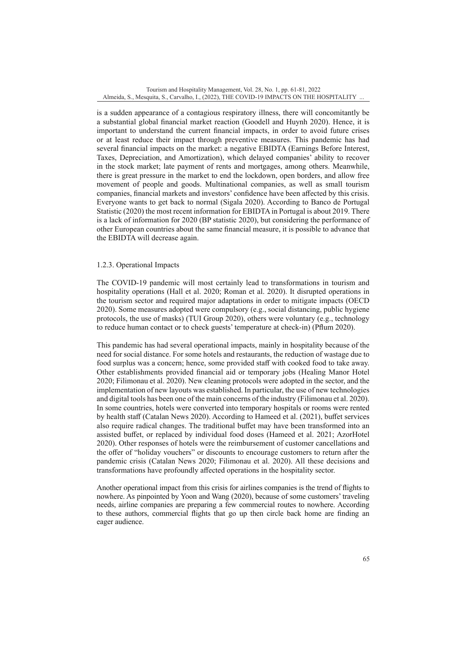is a sudden appearance of a contagious respiratory illness, there will concomitantly be a substantial global financial market reaction (Goodell and Huynh 2020). Hence, it is important to understand the current financial impacts, in order to avoid future crises or at least reduce their impact through preventive measures. This pandemic has had several financial impacts on the market: a negative EBIDTA (Earnings Before Interest, Taxes, Depreciation, and Amortization), which delayed companies' ability to recover in the stock market; late payment of rents and mortgages, among others. Meanwhile, there is great pressure in the market to end the lockdown, open borders, and allow free movement of people and goods. Multinational companies, as well as small tourism companies, financial markets and investors' confidence have been affected by this crisis. Everyone wants to get back to normal (Sigala 2020). According to Banco de Portugal Statistic (2020) the most recent information for EBIDTA in Portugal is about 2019. There is a lack of information for 2020 (BP statistic 2020), but considering the performance of other European countries about the same financial measure, it is possible to advance that the EBIDTA will decrease again.

## 1.2.3. Operational Impacts

The COVID-19 pandemic will most certainly lead to transformations in tourism and hospitality operations (Hall et al. 2020; Roman et al. 2020). It disrupted operations in the tourism sector and required major adaptations in order to mitigate impacts (OECD 2020). Some measures adopted were compulsory (e.g., social distancing, public hygiene protocols, the use of masks) (TUI Group 2020), others were voluntary (e.g., technology to reduce human contact or to check guests' temperature at check-in) (Pflum 2020).

This pandemic has had several operational impacts, mainly in hospitality because of the need for social distance. For some hotels and restaurants, the reduction of wastage due to food surplus was a concern; hence, some provided staff with cooked food to take away. Other establishments provided financial aid or temporary jobs (Healing Manor Hotel 2020; Filimonau et al. 2020). New cleaning protocols were adopted in the sector, and the implementation of new layouts was established. In particular, the use of new technologies and digital tools has been one of the main concerns of the industry (Filimonau et al. 2020). In some countries, hotels were converted into temporary hospitals or rooms were rented by health staff (Catalan News 2020). According to Hameed et al. (2021), buffet services also require radical changes. The traditional buffet may have been transformed into an assisted buffet, or replaced by individual food doses (Hameed et al. 2021; AzorHotel 2020). Other responses of hotels were the reimbursement of customer cancellations and the offer of "holiday vouchers" or discounts to encourage customers to return after the pandemic crisis (Catalan News 2020; Filimonau et al. 2020). All these decisions and transformations have profoundly affected operations in the hospitality sector.

Another operational impact from this crisis for airlines companies is the trend of flights to nowhere. As pinpointed by Yoon and Wang (2020), because of some customers' traveling needs, airline companies are preparing a few commercial routes to nowhere. According to these authors, commercial flights that go up then circle back home are finding an eager audience.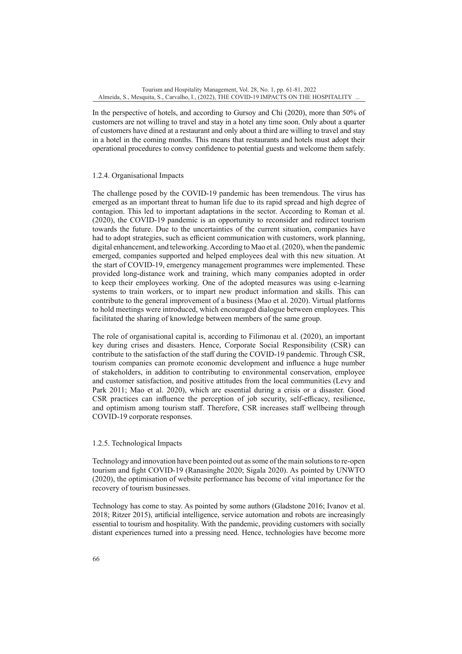In the perspective of hotels, and according to Gursoy and Chi (2020), more than 50% of customers are not willing to travel and stay in a hotel any time soon. Only about a quarter of customers have dined at a restaurant and only about a third are willing to travel and stay in a hotel in the coming months. This means that restaurants and hotels must adopt their operational procedures to convey confidence to potential guests and welcome them safely.

### 1.2.4. Organisational Impacts

The challenge posed by the COVID-19 pandemic has been tremendous. The virus has emerged as an important threat to human life due to its rapid spread and high degree of contagion. This led to important adaptations in the sector. According to Roman et al. (2020), the COVID-19 pandemic is an opportunity to reconsider and redirect tourism towards the future. Due to the uncertainties of the current situation, companies have had to adopt strategies, such as efficient communication with customers, work planning, digital enhancement, and teleworking. According to Mao et al. (2020), when the pandemic emerged, companies supported and helped employees deal with this new situation. At the start of COVID-19, emergency management programmes were implemented. These provided long-distance work and training, which many companies adopted in order to keep their employees working. One of the adopted measures was using e-learning systems to train workers, or to impart new product information and skills. This can contribute to the general improvement of a business (Mao et al. 2020). Virtual platforms to hold meetings were introduced, which encouraged dialogue between employees. This facilitated the sharing of knowledge between members of the same group.

The role of organisational capital is, according to Filimonau et al. (2020), an important key during crises and disasters. Hence, Corporate Social Responsibility (CSR) can contribute to the satisfaction of the staff during the COVID-19 pandemic. Through CSR, tourism companies can promote economic development and influence a huge number of stakeholders, in addition to contributing to environmental conservation, employee and customer satisfaction, and positive attitudes from the local communities (Levy and Park 2011; Mao et al. 2020), which are essential during a crisis or a disaster. Good CSR practices can influence the perception of job security, self-efficacy, resilience, and optimism among tourism staff. Therefore, CSR increases staff wellbeing through COVID-19 corporate responses.

### 1.2.5. Technological Impacts

Technology and innovation have been pointed out as some of the main solutions to re-open tourism and fight COVID-19 (Ranasinghe 2020; Sigala 2020). As pointed by UNWTO (2020), the optimisation of website performance has become of vital importance for the recovery of tourism businesses.

Technology has come to stay. As pointed by some authors (Gladstone 2016; Ivanov et al. 2018; Ritzer 2015), artificial intelligence, service automation and robots are increasingly essential to tourism and hospitality. With the pandemic, providing customers with socially distant experiences turned into a pressing need. Hence, technologies have become more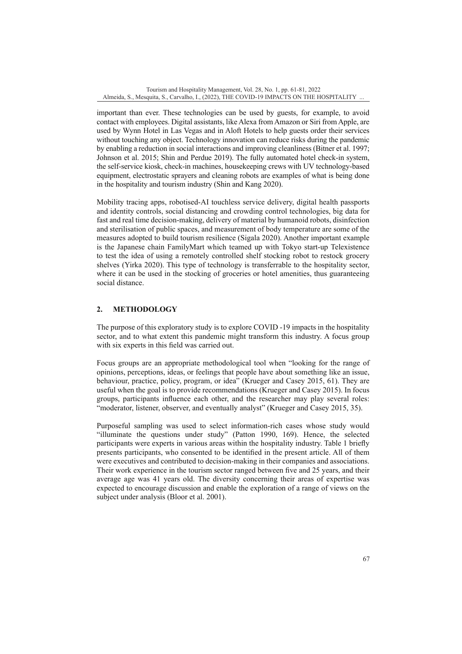important than ever. These technologies can be used by guests, for example, to avoid contact with employees. Digital assistants, like Alexa from Amazon or Siri from Apple, are used by Wynn Hotel in Las Vegas and in Aloft Hotels to help guests order their services without touching any object. Technology innovation can reduce risks during the pandemic by enabling a reduction in social interactions and improving cleanliness (Bitner et al. 1997; Johnson et al. 2015; Shin and Perdue 2019). The fully automated hotel check-in system, the self-service kiosk, check-in machines, housekeeping crews with UV technology-based equipment, electrostatic sprayers and cleaning robots are examples of what is being done in the hospitality and tourism industry (Shin and Kang 2020).

Mobility tracing apps, robotised-AI touchless service delivery, digital health passports and identity controls, social distancing and crowding control technologies, big data for fast and real time decision-making, delivery of material by humanoid robots, disinfection and sterilisation of public spaces, and measurement of body temperature are some of the measures adopted to build tourism resilience (Sigala 2020). Another important example is the Japanese chain FamilyMart which teamed up with Tokyo start-up Telexistence to test the idea of using a remotely controlled shelf stocking robot to restock grocery shelves (Yirka 2020). This type of technology is transferrable to the hospitality sector, where it can be used in the stocking of groceries or hotel amenities, thus guaranteeing social distance.

# **2. METHODOLOGY**

The purpose of this exploratory study is to explore COVID -19 impacts in the hospitality sector, and to what extent this pandemic might transform this industry. A focus group with six experts in this field was carried out.

Focus groups are an appropriate methodological tool when "looking for the range of opinions, perceptions, ideas, or feelings that people have about something like an issue, behaviour, practice, policy, program, or idea" (Krueger and Casey 2015, 61). They are useful when the goal is to provide recommendations (Krueger and Casey 2015). In focus groups, participants influence each other, and the researcher may play several roles: "moderator, listener, observer, and eventually analyst" (Krueger and Casey 2015, 35).

Purposeful sampling was used to select information-rich cases whose study would "illuminate the questions under study" (Patton 1990, 169). Hence, the selected participants were experts in various areas within the hospitality industry. Table 1 briefly presents participants, who consented to be identified in the present article. All of them were executives and contributed to decision-making in their companies and associations. Their work experience in the tourism sector ranged between five and 25 years, and their average age was 41 years old. The diversity concerning their areas of expertise was expected to encourage discussion and enable the exploration of a range of views on the subject under analysis (Bloor et al. 2001).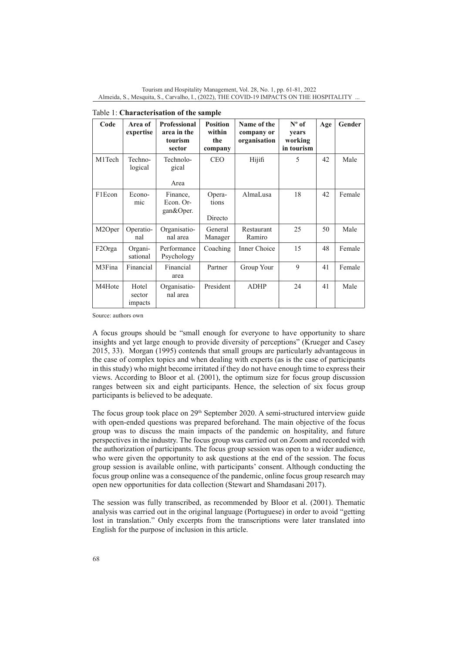| Code   | Area of<br>expertise       | Professional<br>area in the<br>tourism<br>sector | <b>Position</b><br>within<br>the<br>company | Name of the<br>company or<br>organisation | $N^{\circ}$ of<br>years<br>working<br>in tourism | Age | Gender |  |  |  |
|--------|----------------------------|--------------------------------------------------|---------------------------------------------|-------------------------------------------|--------------------------------------------------|-----|--------|--|--|--|
| M1Tech | Techno-<br>logical         | Technolo-<br>gical<br>Area                       | <b>CEO</b>                                  | Hijifi                                    | 5                                                | 42  | Male   |  |  |  |
| F1Econ | Econo-<br>mic              | Finance,<br>Econ. Or-<br>gan&Oper.               | Opera-<br>tions<br>Directo                  | AlmaLusa                                  | 18                                               | 42  | Female |  |  |  |
| M2Oper | Operatio-<br>nal           | Organisatio-<br>nal area                         | General<br>Manager                          | Restaurant<br>Ramiro                      | 25                                               | 50  | Male   |  |  |  |
| F2Orga | Organi-<br>sational        | Performance<br>Psychology                        | Coaching                                    | Inner Choice                              | 15                                               | 48  | Female |  |  |  |
| M3Fina | Financial                  | Financial<br>area                                | Partner                                     | Group Your                                | 9                                                | 41  | Female |  |  |  |
| M4Hote | Hotel<br>sector<br>impacts | Organisatio-<br>nal area                         | President                                   | <b>ADHP</b>                               | 24                                               | 41  | Male   |  |  |  |

| Table 1: Characterisation of the sample |  |
|-----------------------------------------|--|
|-----------------------------------------|--|

Source: authors own

A focus groups should be "small enough for everyone to have opportunity to share insights and yet large enough to provide diversity of perceptions" (Krueger and Casey 2015, 33). Morgan (1995) contends that small groups are particularly advantageous in the case of complex topics and when dealing with experts (as is the case of participants in this study) who might become irritated if they do not have enough time to express their views. According to Bloor et al. (2001), the optimum size for focus group discussion ranges between six and eight participants. Hence, the selection of six focus group participants is believed to be adequate.

The focus group took place on  $29<sup>th</sup>$  September 2020. A semi-structured interview guide with open-ended questions was prepared beforehand. The main objective of the focus group was to discuss the main impacts of the pandemic on hospitality, and future perspectives in the industry. The focus group was carried out on Zoom and recorded with the authorization of participants. The focus group session was open to a wider audience, who were given the opportunity to ask questions at the end of the session. The focus group session is available online, with participants' consent. Although conducting the focus group online was a consequence of the pandemic, online focus group research may open new opportunities for data collection (Stewart and Shamdasani 2017).

The session was fully transcribed, as recommended by Bloor et al. (2001). Thematic analysis was carried out in the original language (Portuguese) in order to avoid "getting lost in translation." Only excerpts from the transcriptions were later translated into English for the purpose of inclusion in this article.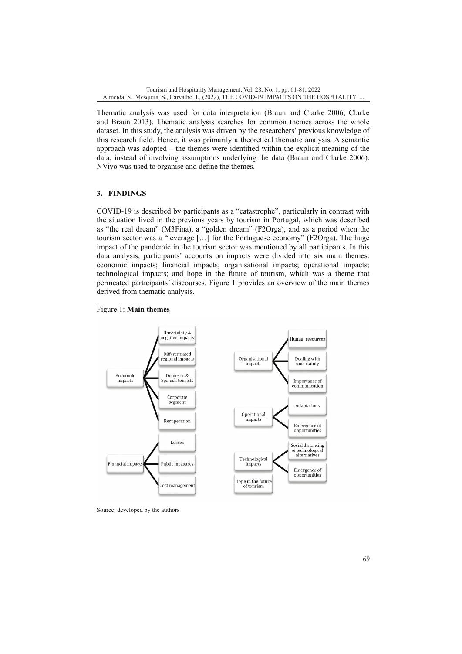Thematic analysis was used for data interpretation (Braun and Clarke 2006; Clarke and Braun 2013). Thematic analysis searches for common themes across the whole dataset. In this study, the analysis was driven by the researchers' previous knowledge of this research field. Hence, it was primarily a theoretical thematic analysis. A semantic approach was adopted – the themes were identified within the explicit meaning of the data, instead of involving assumptions underlying the data (Braun and Clarke 2006). NVivo was used to organise and define the themes.

# **3. FINDINGS**

COVID-19 is described by participants as a "catastrophe", particularly in contrast with the situation lived in the previous years by tourism in Portugal, which was described as "the real dream" (M3Fina), a "golden dream" (F2Orga), and as a period when the tourism sector was a "leverage […] for the Portuguese economy" (F2Orga). The huge impact of the pandemic in the tourism sector was mentioned by all participants. In this data analysis, participants' accounts on impacts were divided into six main themes: economic impacts; financial impacts; organisational impacts; operational impacts; technological impacts; and hope in the future of tourism, which was a theme that permeated participants' discourses. Figure 1 provides an overview of the main themes derived from thematic analysis.

# Figure 1: **Main themes**



Source: developed by the authors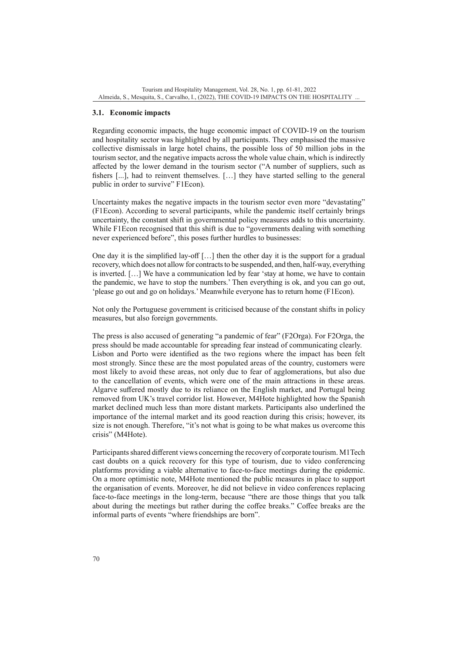## **3.1. Economic impacts**

Regarding economic impacts, the huge economic impact of COVID-19 on the tourism and hospitality sector was highlighted by all participants. They emphasised the massive collective dismissals in large hotel chains, the possible loss of 50 million jobs in the tourism sector, and the negative impacts across the whole value chain, which is indirectly affected by the lower demand in the tourism sector ("A number of suppliers, such as fishers [...], had to reinvent themselves. […] they have started selling to the general public in order to survive" F1Econ).

Uncertainty makes the negative impacts in the tourism sector even more "devastating" (F1Econ). According to several participants, while the pandemic itself certainly brings uncertainty, the constant shift in governmental policy measures adds to this uncertainty. While F1Econ recognised that this shift is due to "governments dealing with something never experienced before", this poses further hurdles to businesses:

One day it is the simplified lay-off  $[\dots]$  then the other day it is the support for a gradual recovery, which does not allow for contracts to be suspended, and then, half-way, everything is inverted. […] We have a communication led by fear 'stay at home, we have to contain the pandemic, we have to stop the numbers.' Then everything is ok, and you can go out, 'please go out and go on holidays.' Meanwhile everyone has to return home (F1Econ).

Not only the Portuguese government is criticised because of the constant shifts in policy measures, but also foreign governments.

The press is also accused of generating "a pandemic of fear" (F2Orga). For F2Orga, the press should be made accountable for spreading fear instead of communicating clearly. Lisbon and Porto were identified as the two regions where the impact has been felt most strongly. Since these are the most populated areas of the country, customers were most likely to avoid these areas, not only due to fear of agglomerations, but also due to the cancellation of events, which were one of the main attractions in these areas. Algarve suffered mostly due to its reliance on the English market, and Portugal being removed from UK's travel corridor list. However, M4Hote highlighted how the Spanish market declined much less than more distant markets. Participants also underlined the importance of the internal market and its good reaction during this crisis; however, its size is not enough. Therefore, "it's not what is going to be what makes us overcome this crisis" (M4Hote).

Participants shared different views concerning the recovery of corporate tourism. M1Tech cast doubts on a quick recovery for this type of tourism, due to video conferencing platforms providing a viable alternative to face-to-face meetings during the epidemic. On a more optimistic note, M4Hote mentioned the public measures in place to support the organisation of events. Moreover, he did not believe in video conferences replacing face-to-face meetings in the long-term, because "there are those things that you talk about during the meetings but rather during the coffee breaks." Coffee breaks are the informal parts of events "where friendships are born".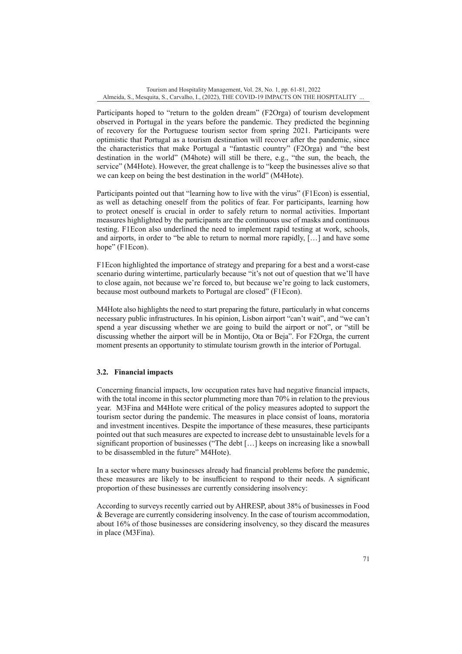Participants hoped to "return to the golden dream" (F2Orga) of tourism development observed in Portugal in the years before the pandemic. They predicted the beginning of recovery for the Portuguese tourism sector from spring 2021. Participants were optimistic that Portugal as a tourism destination will recover after the pandemic, since the characteristics that make Portugal a "fantastic country" (F2Orga) and "the best destination in the world" (M4hote) will still be there, e.g., "the sun, the beach, the service" (M4Hote). However, the great challenge is to "keep the businesses alive so that we can keep on being the best destination in the world" (M4Hote).

Participants pointed out that "learning how to live with the virus" (F1Econ) is essential, as well as detaching oneself from the politics of fear. For participants, learning how to protect oneself is crucial in order to safely return to normal activities. Important measures highlighted by the participants are the continuous use of masks and continuous testing. F1Econ also underlined the need to implement rapid testing at work, schools, and airports, in order to "be able to return to normal more rapidly, […] and have some hope" (F1Econ).

F1Econ highlighted the importance of strategy and preparing for a best and a worst-case scenario during wintertime, particularly because "it's not out of question that we'll have to close again, not because we're forced to, but because we're going to lack customers, because most outbound markets to Portugal are closed" (F1Econ).

M4Hote also highlights the need to start preparing the future, particularly in what concerns necessary public infrastructures. In his opinion, Lisbon airport "can't wait", and "we can't spend a year discussing whether we are going to build the airport or not", or "still be discussing whether the airport will be in Montijo, Ota or Beja". For F2Orga, the current moment presents an opportunity to stimulate tourism growth in the interior of Portugal.

# **3.2. Financial impacts**

Concerning financial impacts, low occupation rates have had negative financial impacts, with the total income in this sector plummeting more than 70% in relation to the previous year. M3Fina and M4Hote were critical of the policy measures adopted to support the tourism sector during the pandemic. The measures in place consist of loans, moratoria and investment incentives. Despite the importance of these measures, these participants pointed out that such measures are expected to increase debt to unsustainable levels for a significant proportion of businesses ("The debt […] keeps on increasing like a snowball to be disassembled in the future" M4Hote).

In a sector where many businesses already had financial problems before the pandemic, these measures are likely to be insufficient to respond to their needs. A significant proportion of these businesses are currently considering insolvency:

According to surveys recently carried out by AHRESP, about 38% of businesses in Food & Beverage are currently considering insolvency. In the case of tourism accommodation, about 16% of those businesses are considering insolvency, so they discard the measures in place (M3Fina).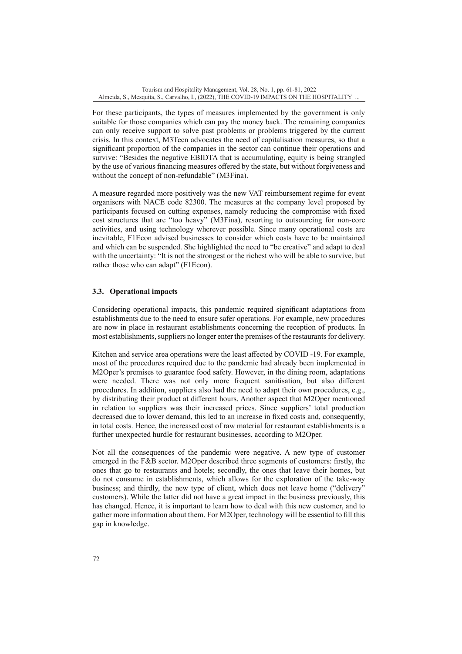For these participants, the types of measures implemented by the government is only suitable for those companies which can pay the money back. The remaining companies can only receive support to solve past problems or problems triggered by the current crisis. In this context, M3Tecn advocates the need of capitalisation measures, so that a significant proportion of the companies in the sector can continue their operations and survive: "Besides the negative EBIDTA that is accumulating, equity is being strangled by the use of various financing measures offered by the state, but without forgiveness and without the concept of non-refundable" (M3Fina).

A measure regarded more positively was the new VAT reimbursement regime for event organisers with NACE code 82300. The measures at the company level proposed by participants focused on cutting expenses, namely reducing the compromise with fixed cost structures that are "too heavy" (M3Fina), resorting to outsourcing for non-core activities, and using technology wherever possible. Since many operational costs are inevitable, F1Econ advised businesses to consider which costs have to be maintained and which can be suspended. She highlighted the need to "be creative" and adapt to deal with the uncertainty: "It is not the strongest or the richest who will be able to survive, but rather those who can adapt" (F1Econ).

# **3.3. Operational impacts**

Considering operational impacts, this pandemic required significant adaptations from establishments due to the need to ensure safer operations. For example, new procedures are now in place in restaurant establishments concerning the reception of products. In most establishments, suppliers no longer enter the premises of the restaurants for delivery.

Kitchen and service area operations were the least affected by COVID -19. For example, most of the procedures required due to the pandemic had already been implemented in M2Oper's premises to guarantee food safety. However, in the dining room, adaptations were needed. There was not only more frequent sanitisation, but also different procedures. In addition, suppliers also had the need to adapt their own procedures, e.g., by distributing their product at different hours. Another aspect that M2Oper mentioned in relation to suppliers was their increased prices. Since suppliers' total production decreased due to lower demand, this led to an increase in fixed costs and, consequently, in total costs. Hence, the increased cost of raw material for restaurant establishments is a further unexpected hurdle for restaurant businesses, according to M2Oper.

Not all the consequences of the pandemic were negative. A new type of customer emerged in the F&B sector. M2Oper described three segments of customers: firstly, the ones that go to restaurants and hotels; secondly, the ones that leave their homes, but do not consume in establishments, which allows for the exploration of the take-way business; and thirdly, the new type of client, which does not leave home ("delivery" customers). While the latter did not have a great impact in the business previously, this has changed. Hence, it is important to learn how to deal with this new customer, and to gather more information about them. For M2Oper, technology will be essential to fill this gap in knowledge.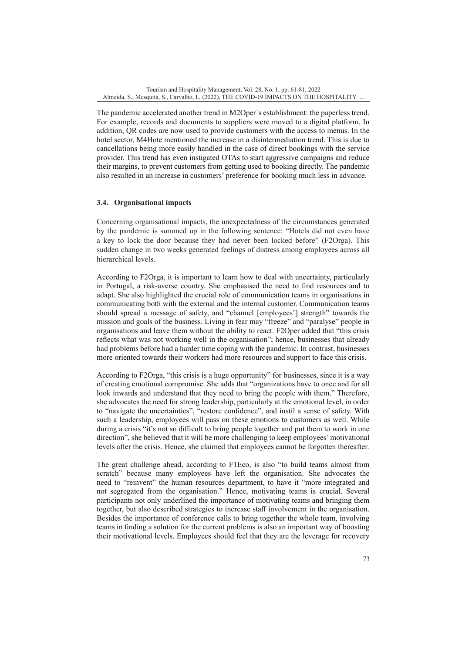The pandemic accelerated another trend in M2Oper´s establishment: the paperless trend. For example, records and documents to suppliers were moved to a digital platform. In addition, QR codes are now used to provide customers with the access to menus. In the hotel sector, M4Hote mentioned the increase in a disintermediation trend. This is due to cancellations being more easily handled in the case of direct bookings with the service provider. This trend has even instigated OTAs to start aggressive campaigns and reduce their margins, to prevent customers from getting used to booking directly. The pandemic also resulted in an increase in customers' preference for booking much less in advance.

# **3.4. Organisational impacts**

Concerning organisational impacts, the unexpectedness of the circumstances generated by the pandemic is summed up in the following sentence: "Hotels did not even have a key to lock the door because they had never been locked before" (F2Orga). This sudden change in two weeks generated feelings of distress among employees across all hierarchical levels.

According to F2Orga, it is important to learn how to deal with uncertainty, particularly in Portugal, a risk-averse country. She emphasised the need to find resources and to adapt. She also highlighted the crucial role of communication teams in organisations in communicating both with the external and the internal customer. Communication teams should spread a message of safety, and "channel [employees'] strength" towards the mission and goals of the business. Living in fear may "freeze" and "paralyse" people in organisations and leave them without the ability to react. F2Oper added that "this crisis reflects what was not working well in the organisation"; hence, businesses that already had problems before had a harder time coping with the pandemic. In contrast, businesses more oriented towards their workers had more resources and support to face this crisis.

According to F2Orga, "this crisis is a huge opportunity" for businesses, since it is a way of creating emotional compromise. She adds that "organizations have to once and for all look inwards and understand that they need to bring the people with them." Therefore, she advocates the need for strong leadership, particularly at the emotional level, in order to "navigate the uncertainties", "restore confidence", and instil a sense of safety. With such a leadership, employees will pass on these emotions to customers as well. While during a crisis "it's not so difficult to bring people together and put them to work in one direction", she believed that it will be more challenging to keep employees' motivational levels after the crisis. Hence, she claimed that employees cannot be forgotten thereafter.

The great challenge ahead, according to F1Eco, is also "to build teams almost from scratch" because many employees have left the organisation. She advocates the need to "reinvent" the human resources department, to have it "more integrated and not segregated from the organisation." Hence, motivating teams is crucial. Several participants not only underlined the importance of motivating teams and bringing them together, but also described strategies to increase staff involvement in the organisation. Besides the importance of conference calls to bring together the whole team, involving teams in finding a solution for the current problems is also an important way of boosting their motivational levels. Employees should feel that they are the leverage for recovery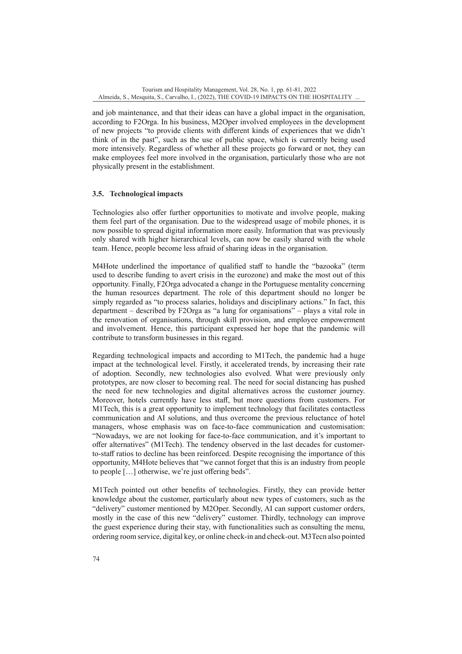and job maintenance, and that their ideas can have a global impact in the organisation, according to F2Orga. In his business, M2Oper involved employees in the development of new projects "to provide clients with different kinds of experiences that we didn't think of in the past", such as the use of public space, which is currently being used more intensively. Regardless of whether all these projects go forward or not, they can make employees feel more involved in the organisation, particularly those who are not physically present in the establishment.

# **3.5. Technological impacts**

Technologies also offer further opportunities to motivate and involve people, making them feel part of the organisation. Due to the widespread usage of mobile phones, it is now possible to spread digital information more easily. Information that was previously only shared with higher hierarchical levels, can now be easily shared with the whole team. Hence, people become less afraid of sharing ideas in the organisation.

M4Hote underlined the importance of qualified staff to handle the "bazooka" (term used to describe funding to avert crisis in the eurozone) and make the most out of this opportunity. Finally, F2Orga advocated a change in the Portuguese mentality concerning the human resources department. The role of this department should no longer be simply regarded as "to process salaries, holidays and disciplinary actions." In fact, this department – described by F2Orga as "a lung for organisations" – plays a vital role in the renovation of organisations, through skill provision, and employee empowerment and involvement. Hence, this participant expressed her hope that the pandemic will contribute to transform businesses in this regard.

Regarding technological impacts and according to M1Tech, the pandemic had a huge impact at the technological level. Firstly, it accelerated trends, by increasing their rate of adoption. Secondly, new technologies also evolved. What were previously only prototypes, are now closer to becoming real. The need for social distancing has pushed the need for new technologies and digital alternatives across the customer journey. Moreover, hotels currently have less staff, but more questions from customers. For M1Tech, this is a great opportunity to implement technology that facilitates contactless communication and AI solutions, and thus overcome the previous reluctance of hotel managers, whose emphasis was on face-to-face communication and customisation: "Nowadays, we are not looking for face-to-face communication, and it's important to offer alternatives" (M1Tech). The tendency observed in the last decades for customerto-staff ratios to decline has been reinforced. Despite recognising the importance of this opportunity, M4Hote believes that "we cannot forget that this is an industry from people to people […] otherwise, we're just offering beds".

M1Tech pointed out other benefits of technologies. Firstly, they can provide better knowledge about the customer, particularly about new types of customers, such as the "delivery" customer mentioned by M2Oper. Secondly, AI can support customer orders, mostly in the case of this new "delivery" customer. Thirdly, technology can improve the guest experience during their stay, with functionalities such as consulting the menu, ordering room service, digital key, or online check-in and check-out. M3Tecn also pointed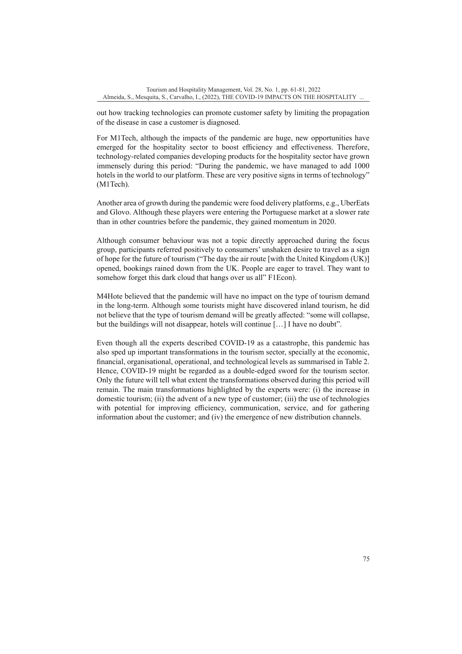out how tracking technologies can promote customer safety by limiting the propagation of the disease in case a customer is diagnosed.

For M1Tech, although the impacts of the pandemic are huge, new opportunities have emerged for the hospitality sector to boost efficiency and effectiveness. Therefore, technology-related companies developing products for the hospitality sector have grown immensely during this period: "During the pandemic, we have managed to add 1000 hotels in the world to our platform. These are very positive signs in terms of technology" (M1Tech).

Another area of growth during the pandemic were food delivery platforms, e.g., UberEats and Glovo. Although these players were entering the Portuguese market at a slower rate than in other countries before the pandemic, they gained momentum in 2020.

Although consumer behaviour was not a topic directly approached during the focus group, participants referred positively to consumers' unshaken desire to travel as a sign of hope for the future of tourism ("The day the air route [with the United Kingdom (UK)] opened, bookings rained down from the UK. People are eager to travel. They want to somehow forget this dark cloud that hangs over us all" F1Econ).

M4Hote believed that the pandemic will have no impact on the type of tourism demand in the long-term. Although some tourists might have discovered inland tourism, he did not believe that the type of tourism demand will be greatly affected: "some will collapse, but the buildings will not disappear, hotels will continue […] I have no doubt".

Even though all the experts described COVID-19 as a catastrophe, this pandemic has also sped up important transformations in the tourism sector, specially at the economic, financial, organisational, operational, and technological levels as summarised in Table 2. Hence, COVID-19 might be regarded as a double-edged sword for the tourism sector. Only the future will tell what extent the transformations observed during this period will remain. The main transformations highlighted by the experts were: (i) the increase in domestic tourism; (ii) the advent of a new type of customer; (iii) the use of technologies with potential for improving efficiency, communication, service, and for gathering information about the customer; and (iv) the emergence of new distribution channels.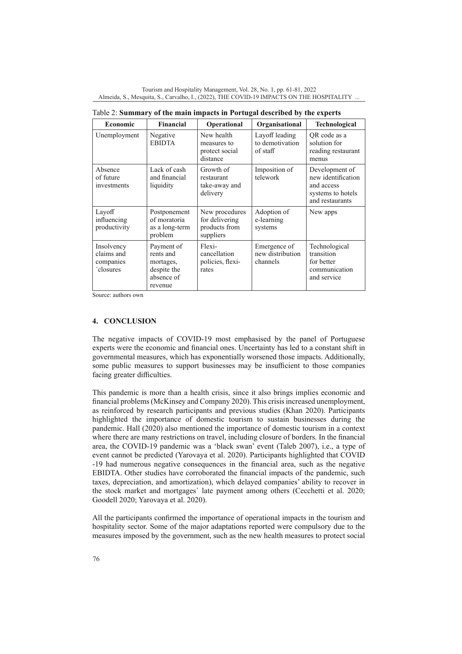| Economic                                           | <b>Financial</b>                                                             | <b>Operational</b>                                             | Organisational                                | <b>Technological</b>                                                                       |
|----------------------------------------------------|------------------------------------------------------------------------------|----------------------------------------------------------------|-----------------------------------------------|--------------------------------------------------------------------------------------------|
| Unemployment                                       | Negative<br><b>EBIDTA</b>                                                    | New health<br>measures to<br>protect social<br>distance        | Layoff leading<br>to demotivation<br>of staff | OR code as a<br>solution for<br>reading restaurant<br>menus                                |
| Absence<br>of future<br>investments                | Lack of cash<br>and financial<br>liquidity                                   | Growth of<br>restaurant<br>take-away and<br>delivery           | Imposition of<br>telework                     | Development of<br>new identification<br>and access<br>systems to hotels<br>and restaurants |
| Layoff<br>influencing<br>productivity              | Postponement<br>of moratoria<br>as a long-term<br>problem                    | New procedures<br>for delivering<br>products from<br>suppliers | Adoption of<br>e-learning<br>systems          | New apps                                                                                   |
| Insolvency<br>claims and<br>companies<br>'closures | Payment of<br>rents and<br>mortages,<br>despite the<br>absence of<br>revenue | Flexi-<br>cancellation<br>policies, flexi-<br>rates            | Emergence of<br>new distribution<br>channels  | Technological<br>transition<br>for better<br>communication<br>and service                  |

Table 2: **Summary of the main impacts in Portugal described by the experts**

Source: authors own

## **4. CONCLUSION**

The negative impacts of COVID-19 most emphasised by the panel of Portuguese experts were the economic and financial ones. Uncertainty has led to a constant shift in governmental measures, which has exponentially worsened those impacts. Additionally, some public measures to support businesses may be insufficient to those companies facing greater difficulties.

This pandemic is more than a health crisis, since it also brings implies economic and financial problems (McKinsey and Company 2020). This crisis increased unemployment, as reinforced by research participants and previous studies (Khan 2020). Participants highlighted the importance of domestic tourism to sustain businesses during the pandemic. Hall (2020) also mentioned the importance of domestic tourism in a context where there are many restrictions on travel, including closure of borders. In the financial area, the COVID-19 pandemic was a 'black swan' event (Taleb 2007), i.e., a type of event cannot be predicted (Yarovaya et al. 2020). Participants highlighted that COVID -19 had numerous negative consequences in the financial area, such as the negative EBIDTA. Other studies have corroborated the financial impacts of the pandemic, such taxes, depreciation, and amortization), which delayed companies' ability to recover in the stock market and mortgages´ late payment among others (Cecchetti et al. 2020; Goodell 2020; Yarovaya et al. 2020).

All the participants confirmed the importance of operational impacts in the tourism and hospitality sector. Some of the major adaptations reported were compulsory due to the measures imposed by the government, such as the new health measures to protect social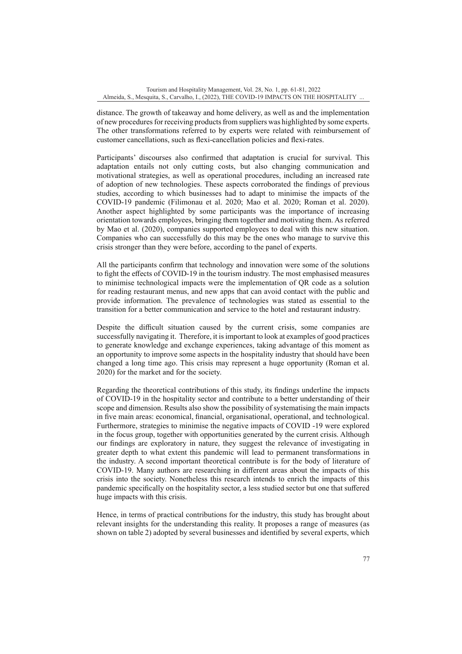distance. The growth of takeaway and home delivery, as well as and the implementation of new procedures for receiving products from suppliers was highlighted by some experts. The other transformations referred to by experts were related with reimbursement of customer cancellations, such as flexi-cancellation policies and flexi-rates.

Participants' discourses also confirmed that adaptation is crucial for survival. This adaptation entails not only cutting costs, but also changing communication and motivational strategies, as well as operational procedures, including an increased rate of adoption of new technologies. These aspects corroborated the findings of previous studies, according to which businesses had to adapt to minimise the impacts of the COVID-19 pandemic (Filimonau et al. 2020; Mao et al. 2020; Roman et al. 2020). Another aspect highlighted by some participants was the importance of increasing orientation towards employees, bringing them together and motivating them. As referred by Mao et al. (2020), companies supported employees to deal with this new situation. Companies who can successfully do this may be the ones who manage to survive this crisis stronger than they were before, according to the panel of experts.

All the participants confirm that technology and innovation were some of the solutions to fight the effects of COVID-19 in the tourism industry. The most emphasised measures to minimise technological impacts were the implementation of QR code as a solution for reading restaurant menus, and new apps that can avoid contact with the public and provide information. The prevalence of technologies was stated as essential to the transition for a better communication and service to the hotel and restaurant industry.

Despite the difficult situation caused by the current crisis, some companies are successfully navigating it. Therefore, it is important to look at examples of good practices to generate knowledge and exchange experiences, taking advantage of this moment as an opportunity to improve some aspects in the hospitality industry that should have been changed a long time ago. This crisis may represent a huge opportunity (Roman et al. 2020) for the market and for the society.

Regarding the theoretical contributions of this study, its findings underline the impacts of COVID-19 in the hospitality sector and contribute to a better understanding of their scope and dimension. Results also show the possibility of systematising the main impacts in five main areas: economical, financial, organisational, operational, and technological. Furthermore, strategies to minimise the negative impacts of COVID -19 were explored in the focus group, together with opportunities generated by the current crisis. Although our findings are exploratory in nature, they suggest the relevance of investigating in greater depth to what extent this pandemic will lead to permanent transformations in the industry. A second important theoretical contribute is for the body of literature of COVID-19. Many authors are researching in different areas about the impacts of this crisis into the society. Nonetheless this research intends to enrich the impacts of this pandemic specifically on the hospitality sector, a less studied sector but one that suffered huge impacts with this crisis.

Hence, in terms of practical contributions for the industry, this study has brought about relevant insights for the understanding this reality. It proposes a range of measures (as shown on table 2) adopted by several businesses and identified by several experts, which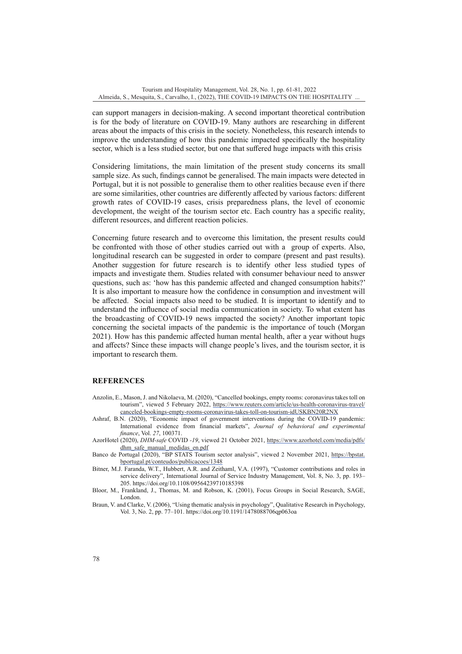can support managers in decision-making. A second important theoretical contribution is for the body of literature on COVID-19. Many authors are researching in different areas about the impacts of this crisis in the society. Nonetheless, this research intends to improve the understanding of how this pandemic impacted specifically the hospitality sector, which is a less studied sector, but one that suffered huge impacts with this crisis

Considering limitations, the main limitation of the present study concerns its small sample size. As such, findings cannot be generalised. The main impacts were detected in Portugal, but it is not possible to generalise them to other realities because even if there are some similarities, other countries are differently affected by various factors: different growth rates of COVID-19 cases, crisis preparedness plans, the level of economic development, the weight of the tourism sector etc. Each country has a specific reality, different resources, and different reaction policies.

Concerning future research and to overcome this limitation, the present results could be confronted with those of other studies carried out with a group of experts. Also, longitudinal research can be suggested in order to compare (present and past results). Another suggestion for future research is to identify other less studied types of impacts and investigate them. Studies related with consumer behaviour need to answer questions, such as: 'how has this pandemic affected and changed consumption habits?' It is also important to measure how the confidence in consumption and investment will be affected. Social impacts also need to be studied. It is important to identify and to understand the influence of social media communication in society. To what extent has the broadcasting of COVID-19 news impacted the society? Another important topic concerning the societal impacts of the pandemic is the importance of touch (Morgan 2021). How has this pandemic affected human mental health, after a year without hugs and affects? Since these impacts will change people's lives, and the tourism sector, it is important to research them.

### **REFERENCES**

- Anzolin, E., Mason, J. and Nikolaeva, M. (2020), "Cancelled bookings, empty rooms: coronavirus takes toll on tourism", viewed 5 February 2022, [https://www.reuters.com/article/us-health-coronavirus-travel/](https://www.reuters.com/article/us-health-coronavirus-travel/canceled-bookings-empty-rooms-coronavirus-takes-toll-on-tourism-idUSKBN20R2NX) [canceled-bookings-empty-rooms-coronavirus-takes-toll-on-tourism-idUSKBN20R2NX](https://www.reuters.com/article/us-health-coronavirus-travel/canceled-bookings-empty-rooms-coronavirus-takes-toll-on-tourism-idUSKBN20R2NX)
- Ashraf, B.N. (2020), "Economic impact of government interventions during the COVID-19 pandemic: International evidence from financial markets", *Journal of behavioral and experimental finance*, Vol. *27*, 100371.
- AzorHotel (2020), *DHM-safe* COVID *-19*, viewed 21 October 2021, [https://www.azorhotel.com/media/pdfs/](https://www.azorhotel.com/media/pdfs/dhm_safe_manual_medidas_en.pdf) [dhm\\_safe\\_manual\\_medidas\\_en.pdf](https://www.azorhotel.com/media/pdfs/dhm_safe_manual_medidas_en.pdf)
- Banco de Portugal (2020), "BP STATS Tourism sector analysis", viewed 2 November 2021, [https://bpstat.](https://bpstat.bportugal.pt/conteudos/publicacoes/1348) [bportugal.pt/conteudos/publicacoes/1348](https://bpstat.bportugal.pt/conteudos/publicacoes/1348)
- Bitner, M.J. Faranda, W.T., Hubbert, A.R. and Zeithaml, V.A. (1997), "Customer contributions and roles in service delivery", International Journal of Service Industry Management, Vol. 8, No. 3, pp. 193– 205. https://doi.org/10.1108/09564239710185398
- Bloor, M., Frankland, J., Thomas, M. and Robson, K. (2001), Focus Groups in Social Research, SAGE, London.
- Braun, V. and Clarke, V. (2006), "Using thematic analysis in psychology", Qualitative Research in Psychology, Vol. 3, No. 2, pp. 77–101. https://doi.org/10.1191/1478088706qp063oa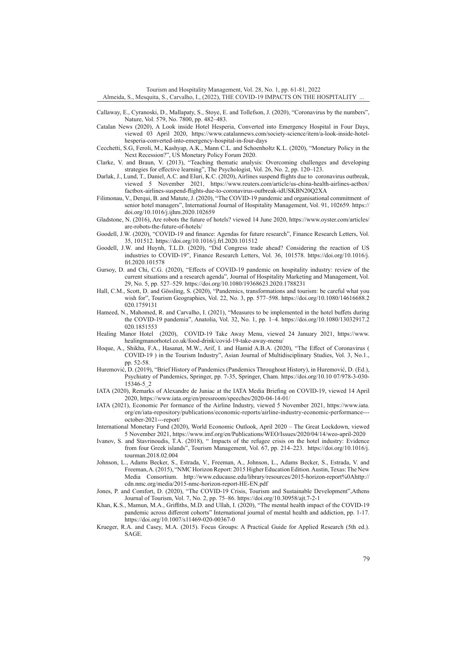Tourism and Hospitality Management, Vol. 28, No. 1, pp. 61-81, 2022 Almeida, S., Mesquita, S., Carvalho, I., (2022), THE COVID-19 IMPACTS ON THE HOSPITALITY ...

- Callaway, E., Cyranoski, D., Mallapaty, S., Stoye, E. and Tollefson, J. (2020), "Coronavirus by the numbers", Nature, Vol. 579, No. 7800, pp. 482–483.
- Catalan News (2020), A Look inside Hotel Hesperia, Converted into Emergency Hospital in Four Days, viewed 03 April 2020, https://www.catalannews.com/society-science/item/a-look-inside-hotelhesperia-converted-into-emergency-hospital-in-four-days
- Cecchetti, S.G, Feroli, M., Kashyap, A.K., Mann C.L. and Schoenholtz K.L. (2020), "Monetary Policy in the Next Recession?", US Monetary Policy Forum 2020.
- Clarke, V. and Braun, V. (2013), "Teaching thematic analysis: Overcoming challenges and developing strategies for effective learning", The Psychologist, Vol. 26, No. 2, pp. 120–123.
- Darlak, J., Lund, T., Daniel, A.C. and Eluri, K.C. (2020), Airlines suspend flights due to coronavirus outbreak, viewed 5 November 2021, https://www.reuters.com/article/us-china-health-airlines-actbox/ factbox-airlines-suspend-flights-due-to-coronavirus-outbreak-idUSKBN20Q2XA
- Filimonau, V., Derqui, B. and Matute, J. (2020), "The COVID-19 pandemic and organisational commitment of senior hotel managers", International Journal of Hospitality Management, Vol. 91, 102659. https:// doi.org/10.1016/j.ijhm.2020.102659
- Gladstone, N. (2016), Are robots the future of hotels? viewed 14 June 2020, https://www.oyster.com/articles/ are-robots-the-future-of-hotels/
- Goodell, J.W. (2020), "COVID-19 and finance: Agendas for future research", Finance Research Letters, Vol. 35, 101512. https://doi.org/10.1016/j.frl.2020.101512
- Goodell, J.W. and Huynh, T.L.D. (2020), "Did Congress trade ahead? Considering the reaction of US industries to COVID-19", Finance Research Letters, Vol. 36, 101578. https://doi.org/10.1016/j. frl.2020.101578
- Gursoy, D. and Chi, C.G. (2020), "Effects of COVID-19 pandemic on hospitality industry: review of the current situations and a research agenda", Journal of Hospitality Marketing and Management, Vol. 29, No. 5, pp. 527–529. https://doi.org/10.1080/19368623.2020.1788231
- Hall, C.M., Scott, D. and Gössling, S. (2020), "Pandemics, transformations and tourism: be careful what you wish for", Tourism Geographies, Vol. 22, No. 3, pp. 577–598. https://doi.org/10.1080/14616688.2 020.1759131
- Hameed, N., Mahomed, R. and Carvalho, I. (2021), "Measures to be implemented in the hotel buffets during the COVID-19 pandemia", Anatolia, Vol. 32, No. 1, pp. 1–4. https://doi.org/10.1080/13032917.2 020.1851553
- Healing Manor Hotel (2020), COVID-19 Take Away Menu, viewed 24 January 2021, https://www. healingmanorhotel.co.uk/food-drink/covid-19-take-away-menu/
- Hoque, A., Shikha, F.A., Hasanat, M.W., Arif, I. and Hamid A.B.A. (2020), "The Effect of Coronavirus ( COVID-19 ) in the Tourism Industry", Asian Journal of Multidisciplinary Studies, Vol. 3, No.1., pp. 52-58.
- Huremović, D. (2019), "Brief History of Pandemics (Pandemics Throughout History), in Huremović, D. (Ed.), Psychiatry of Pandemics, Springer, pp. 7-35, Springer, Cham. https://doi.org/10.10 07/978-3-030- 15346-5\_2
- IATA (2020), Remarks of Alexandre de Juniac at the IATA Media Briefing on COVID-19, viewed 14 April 2020, https://www.iata.org/en/pressroom/speeches/2020-04-14-01/
- IATA (2021), Economic Per formance of the Airline Industry, viewed 5 November 2021, https://www.iata. org/en/iata-repository/publications/economic-reports/airline-industry-economic-performance-- october-2021---report/
- International Monetary Fund (2020), World Economic Outlook, April 2020 The Great Lockdown, viewed 5 November 2021, https://www.imf.org/en/Publications/WEO/Issues/2020/04/14/weo-april-2020
- Ivanov, S. and Stavrinoudis, T.A. (2018), " Impacts of the refugee crisis on the hotel industry: Evidence from four Greek islands", Tourism Management, Vol. 67, pp. 214–223. https://doi.org/10.1016/j. tourman.2018.02.004
- Johnson, L., Adams Becker, S., Estrada, V., Freeman, A., Johnson, L., Adams Becker, S., Estrada, V. and Freeman, A. (2015), "NMC Horizon Report: 2015 Higher Education Edition. Austin, Texas: The New Media Consortium. http://www.educause.edu/library/resources/2015-horizon-report%0Ahttp:// cdn.nmc.org/media/2015-nmc-horizon-report-HE-EN.pdf
- Jones, P. and Comfort, D. (2020), "The COVID-19 Crisis, Tourism and Sustainable Development",Athens Journal of Tourism, Vol. 7, No. 2, pp. 75–86. https://doi.org/10.30958/ajt.7-2-1
- Khan, K.S., Mamun, M.A., Griffiths, M.D. and Ullah, I. (2020), "The mental health impact of the COVID-19 pandemic across different cohorts" International journal of mental health and addiction, pp. 1-17. https://doi.org/10.1007/s11469-020-00367-0
- Krueger, R.A. and Casey, M.A. (2015). Focus Groups: A Practical Guide for Applied Research (5th ed.). SAGE.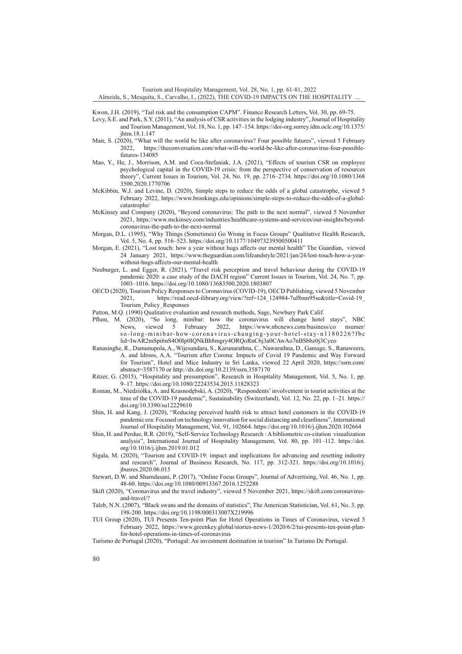Tourism and Hospitality Management, Vol. 28, No. 1, pp. 61-81, 2022

Almeida, S., Mesquita, S., Carvalho, I., (2022), THE COVID-19 IMPACTS ON THE HOSPITALITY ...

Kwon, J.H. (2019), "Tail risk and the consumption CAPM". Finance Research Letters, Vol. 30, pp. 69-75.

- Levy, S.E. and Park, S.Y. (2011), "An analysis of CSR activities in the lodging industry", Journal of Hospitality and Tourism Management, Vol. 18, No. 1, pp. 147–154. https://doi-org.surrey.idm.oclc.org/10.1375/ jhtm.18.1.147
- Mair, S. (2020), "What will the world be like after coronavirus? Four possible futures", viewed 5 February<br>2022. https://theconversation.com/what-will-the-world-be-like-after-coronavirus-four-possiblehttps://theconversation.com/what-will-the-world-be-like-after-coronavirus-four-possiblefutures-134085
- Mao, Y., He, J., Morrison, A.M. and Coca-Stefaniak, J.A. (2021), "Effects of tourism CSR on employee psychological capital in the COVID-19 crisis: from the perspective of conservation of resources theory", Current Issues in Tourism, Vol. 24, No. 19, pp. 2716–2734. https://doi.org/10.1080/1368 3500.2020.1770706
- McKibbin, W.J. and Levine, D. (2020), Simple steps to reduce the odds of a global catastrophe, viewed 5 February 2022, https://www.brookings.edu/opinions/simple-steps-to-reduce-the-odds-of-a-globalcatastrophe/
- McKinsey and Company (2020), "Beyond coronavirus: The path to the next normal", viewed 5 November 2021, https://www.mckinsey.com/industries/healthcare-systems-and-services/our-insights/beyondcoronavirus-the-path-to-the-next-normal
- Morgan, D.L. (1995), "Why Things (Sometimes) Go Wrong in Focus Groups" Qualitative Health Research, Vol. 5, No. 4, pp. 516–523. https://doi.org/10.1177/104973239500500411
- Morgan, E. (2021), "Lost touch: how a year without hugs affects our mental health" The Guardian, viewed 24 January 2021, https://www.theguardian.com/lifeandstyle/2021/jan/24/lost-touch-how-a-yearwithout-hugs-affects-our-mental-health
- Neuburger, L. and Egger, R. (2021), "Travel risk perception and travel behaviour during the COVID-19 pandemic 2020: a case study of the DACH region" Current Issues in Tourism, Vol. 24, No. 7, pp. 1003–1016. https://doi.org/10.1080/13683500.2020.1803807
- OECD (2020), Tourism Policy Responses to Coronavirus (COVID-19), OECD Publishing, viewed 5 November 2021, https://read.oecd-ilibrary.org/view/?ref=124\_124984-7uf8nm95se&title=Covid-19\_ Tourism\_Policy\_Responses
- Patton, M.Q. (1990) Qualitative evaluation and research methods, Sage, Newbury Park Calif.
- Pflum, M. (2020), "So long, minibar: how the coronavirus will change hotel stays", NBC News, viewed 5 February 2022, https://www.nbcnews.com/business/co nsumer/ so-long-minibar-how-coronavirus-changing-your-hotel-stay-n1180226?fbc lid=IwAR2mSpi6nS4O0Ip0IQNkBh8mgry4ORQoRnC6j3a0CAwAo7nBSbbz0j3Cyeo
- Ranasinghe, R., Damunupola, A., Wijesundara, S., Karunarathna, C., Nawarathna, D., Gamage, S., Ranaweera, A. and Idroos, A.A. "Tourism after Corona: Impacts of Covid 19 Pandemic and Way Forward for Tourism", Hotel and Mice Industry in Sri Lanka, viewed 22 April 2020, https://ssrn.com/ abstract=3587170 or http://dx.doi.org/10.2139/ssrn.3587170
- Ritzer, G. (2015), "Hospitality and presumption", Research in Hospitality Management, Vol. 5, No. 1, pp. 9–17. https://doi.org/10.1080/22243534.2015.11828323
- Roman, M., Niedziółka, A. and Krasnodębski, A. (2020), "Respondents' involvement in tourist activities at the time of the COVID-19 pandemic", Sustainability (Switzerland), Vol. 12, No. 22, pp. 1–21. https:// doi.org/10.3390/su12229610
- Shin, H. and Kang, J. (2020), "Reducing perceived health risk to attract hotel customers in the COVID-19 pandemic era: Focused on technology innovation for social distancing and cleanliness", International Journal of Hospitality Management, Vol. 91, 102664. https://doi.org/10.1016/j.ijhm.2020.102664
- Shin, H. and Perdue, R.R. (2019), "Self-Service Technology Research : A bibliometric co-citation visualization analysis", International Journal of Hospitality Management, Vol. 80, pp. 101–112. https://doi. org/10.1016/j.ijhm.2019.01.012
- Sigala, M. (2020), "Tourism and COVID-19: impact and implications for advancing and resetting industry and research", Journal of Business Research, No. 117, pp. 312-321. https://doi.org/10.1016/j. jbusres.2020.06.015
- Stewart, D.W. and Shamdasani, P. (2017), "Online Focus Groups", Journal of Advertising, Vol. 46, No. 1, pp. 48-60. https://doi.org/10.1080/00913367.2016.1252288
- Skift (2020), "Coronavirus and the travel industry", viewed 5 November 2021, https://skift.com/coronavirusand-travel/?
- Taleb, N.N. (2007), "Black swans and the domains of statistics", The American Statistician, Vol. 61, No. 3, pp. 198-200. https://doi.org/10.1198/000313007X219996
- TUI Group (2020), TUI Presents Ten-point Plan for Hotel Operations in Times of Coronavirus, viewed 5 February 2022, https://www.greenkey.global/stories-news-1/2020/6/2/tui-presents-ten-point-planfor-hotel-operations-in-times-of-coronavirus
- Turismo de Portugal (2020), "Portugal: An investment destination in tourism" In Turismo De Portugal.